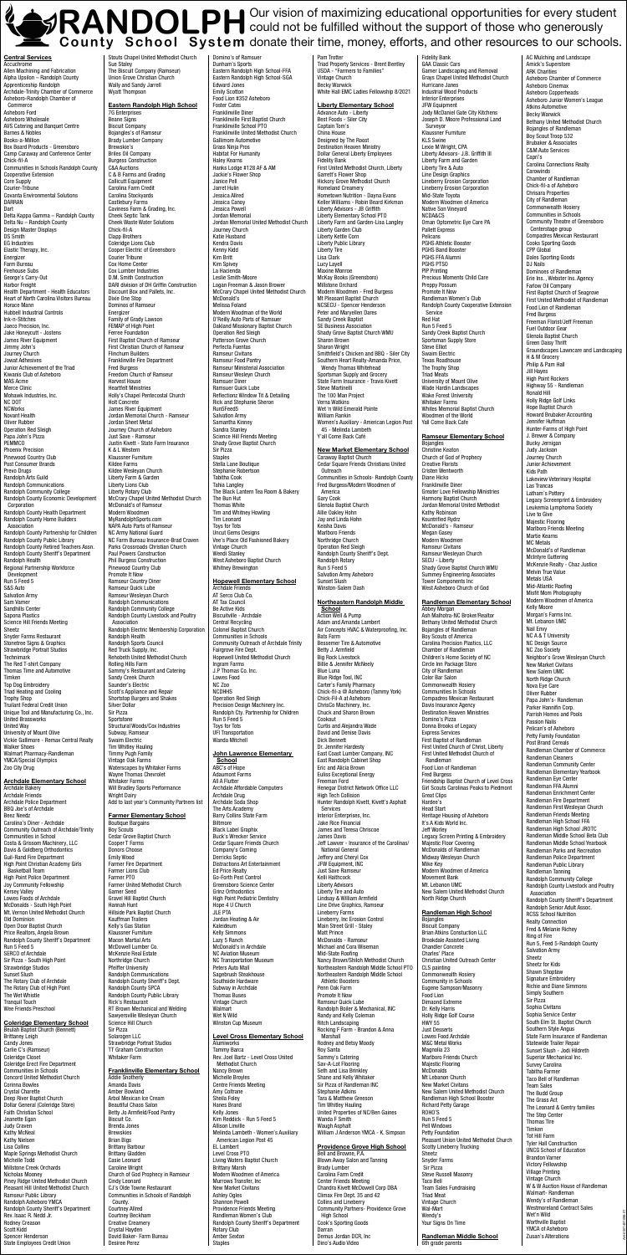AH-0001451096-01

Central Services Accuchrome Allen Machining and Fabrication Alpha Upsilon – Randolph County Apprenticeship Randolph Archdale-Trinity Chamber of Commerce Asheboro-Randolph Chamber of Commerce Asheboro Ford Asheboro Wholesale AVS Catering and Banquet Centre Barnes & Nobles Books-a-Million Box Board Products - Greensboro Camp Caraway and Conference Center Chick-fil-A Communities in Schools Randolph County Cooperative Extension Core Supply Courier-Tribune Covanta Environmental Solutions DARRAN Dart Delta Kappa Gamma – Randolph County Delta Nu – Randolph County Design Master Displays DS Smith EG Industries Elastic Therapy, Inc. Energizer Farm Bureau Firehouse Subs George's Carry-Out Harbor Freight Health Department - Health Educators Heart of North Carolina Visitors Bureau Horace Mann Hubbell Industrial Controls Ink-n-Stitches Jaeco Precision, Inc. Jake Honeycutt - Jostens James River Equipment Jimmy John's Journey Church Jowat Adhesives Junior Achievement of the Triad Kiwanis Club of Asheboro MAS Acme Merce Clinic Mohawk Industries, Inc. NC DOT **NCWorks** Novant Health Oliver Rubber Operation Red Sleigh Papa John's Pizza **PEMMCO** Phoenix Precision Pinewood Country Club Post Consumer Brands Prevo Drugs Randolph Arts Guild Randolph Communications Randolph Community College Randolph County Economic Development Corporation Randolph County Health Department Randolph County Home Builders Association Randolph County Partnership for Children Randolph County Public Library Randolph County Retired Teachers Assn. Randolph County Sheriff's Department Randolph Health Regional Partnership Workforce Development Run 5 Feed 5 S&S Auto Salvation Army Sam Varner Sandhills Center Sapona Plastics Science Hill Friends Meeting Sheetz Snyder Farms Restaurant Stonetree Signs & Graphics Strawbridge Portrait Studios **Technimark** The Red T-shirt Company Thomas Time and Automotive Timken Top Dog Embroidery Triad Heating and Cooling Trophy Shop Truilant Federal Credit Union Unique Tool and Manufacturing Co., Inc. United Brassworks United Way University of Mount Olive Vickie Gallimore - Remax Central Realty Walker Shoes Walmart Pharmacy-Randleman YMCA/Special Olympics Zoo City Drug

Eastern Randolph High School 7G Enterprise Beane Signs Biscuit Company Bojangles's of Ramseur Brady Lumber Company Brewskie's Brittes Oil Company Burgess Construction C&A Auctions C & B Farme and Grading Callicutt Equipment Carolina Farm Credit Carolina Stockyards Castlebury Farms Caviness Farm & Grading, Inc. Cheek Septic Tank Cheek Waste Water Solutions Chick-fil-A Clann Brothers Coleridge Lions Club Cooper Electric of Greensboro Courier Tribune Cox Home Center Cox Lumber Industries D.M. Smith Construction DARI division of DH Griffin Construction Discount Box and Pallets, Inc. Dixie One Stop Dominos of Ramseur Energizer Family of Grady Lawson FEMAP of High Point Ferree Foundation First Baptist Church of Ramseur First Christian Church of Ramseur Flinchum Builders Franklinville Fire Department Fred Burgess Freedom Church of Ramseur Harvest House Heartfelt Ministries Holly's Chapel Pentecostal Church Holt Concrete James River Equipment Jordan Memorial Church - Ramseur Jordan Sheet Metal Journey Church of Asheboro Just Save - Ramseur Justin Kivett - State Farm Insurance K & L Western Klaussner Furniture Kildee Farms Kildee Wesleyan Church Liberty Farm & Garden Liberty Lions Club Liberty Rotary Club McCrary Chapel United Methodist Church McDonald's of Ramseur Modern Woodmen MyRandolphSports.com NAPA Auto Parts of Ramseur NC Army National Guard NC Farm Bureau Insurance-Brad Craven Parks Crossroads Christian Church Paul Powers Construction Phil Burgess Construction Pinewood Country Club Promote It Now Ramseur Country Diner Ramseur Quick Lube Ramseur Wesleyan Church Randolph Communications Randolph Community College Randolph County Livestock and Poultry Association Randolph Electric Membership Corporation Randolph Health Randolph Sports Council Red Truck Supply, Inc. Rehobeth United Methodist Church Rolling Hills Farm Sammy's Restaurant and Catering Sandy Creek Church Saunder's Electric Scott's Appliance and Repair Shortstop Burgers and Shakes Silver Dollar Sir Pizza Sportstone Structural Woods/Cox Industries Subway, Ramseur Swaim Electric Tim Whitley Hauling Timmy Pugh Family Vintage Oak Farms Waterscapes by Whitaker Farms Wayne Thomas Chevrolet

Archdale Elementary School

Archdale Bakery Archdale Friends Archdale Police Department BBQ Joe's of Archdale Beez Needz Carolina's Diner - Archdale Community Outreach of Archdale/Trinity Communities in School Costa & Grissom Machinery, LLC Davis & Goldberg Orthodontics Guil-Rand Fire Department High Point Christian Academy Girls Basketball Team High Point Police Department Joy Community Fellowship Kersey Valley Lowes Foods of Archdale McDonalds - South High Point Mt. Vernon United Methodist Church Old Dominion Open Door Baptist Church Price Realtors, Angela Brown Randolph County Sheriff's Department Run 5 Feed 5 SERCO of Archdale Sir Pizza - South High Point Strawbridge Studios Sunset Slush The Rotary Club of Archdale The Rotary Club of High Point The Wet Whistle Tranquil Touch Wee Friends Preschool

#### Coleridge Elementary School

Beulah Baptist Church (Bennett) Brittaney Leigh Candy Jones Carlie C's (Ramseur) Coleridge Closet Coleridge Erect Fire Department Communities in Schools Concord United Methodist Church Corinna Bowles Crystal Charette Deep River Baptist Church Dollar General (Coleridge Store) Faith Christian School Jeanette Egan Judy Craven Kathy McNeal Kathy Nielsen Lisa Collins Maple Springs Methodist Church Michelle Todd Millstone Creek Orchards Nicholas Mooney Piney Ridge United Methodist Church Pleasant Hill United Methodist Church Ramseur Public Library Randolph Asheboro YMCA Randolph County Sheriff's Department Rev. Isaac R. Nedd Jr. Rodney Creason Scott Kidd Spencer Henderson State Employees Credit Union

Stouts Chapel United Methodist Church Sue Staley<br>The Biscuit Company (Ramseur) Union Grove Christian Church Wally and Sandy Jarrell Wyatt Thompson

> **John Lawrence Elementary School** ABC's of Hope Adaumont Farms All A Flutter<br>Archdale Affordable Computers Archdale Drug Archdale Soda Shop The Arts Academy Barry Collins State Farm Biltmore<br>Black Label Graphix Buck's Wrecker Service Cedar Square Friends Church Company's Coming Derricks Septic Distractions Art Entertainment Ed Price Realty Go-Forth Pest Control Greensboro Science Center Grinz Orthodontics High Point Pediatric Dentistry Hope 4 U Church JLE PTA Jordan Heating & Air Kaleideum Kelly Simmons Lazy 5 Ranch McDonald's in Archdale NC Aviation Museum NC Transportation Museum Peters Auto Mall Sagebrush Steakhouse Southside Hardware Subway in Archdale Thomas Buses Vintage Church Walmart Wet N Wild Winston Cup Museum

**Liberty Elementary School**<br>Advance Auto - Liberty Best Foods - Siler City Captain Tom's China House Designed by The Roost Destination Heaven Ministry Dollar General Liberty Employees Fidelity Bank First United Methodist Church, Liberty Garrett's Flower Shop Hickory Grove Methodist Church Homeland Creamery Hometown Nutrition - Dayna Evans Keller Williams - Robin Beard Kirkman Liberty Advisors - JB Griffith Liberty Elementary School PTO Liberty Farm and Garden-Lisa Langley Liberty Garden Club Liberty Kettle Corn Liberty Public Library Liberty Tire Lisa Clark Lucy Layell Maxine Monroe McKay Books (Greensboro) Millstone Orchard Modern Woodmen - Fred Burgess Mt Pleasant Baptist Church NCSECU - Spencer Henderson Peter and Maryellen Dares Sandy Creek Baptist SE Business Association Shady Grove Baptist Church WMU Sharon Brown Sharon Wright Smithfield's Chicken and BBQ - Siler City Southern Heart Realty-Amanda Price, Wendy Thomas Whitehead Sportsman Supply and Grocery State Farm Insurance - Travis Kivett Steve Martinelli The 100 Man Project Verna Watkins Wet 'n Wild Emerald Pointe William Rankin Women's Auxiliary - American Legion Post 45 - Melinda Lambeth Y'all Come Back Café

Whitaker Farms Will Bradley Sports Performance Wright Dairy Add to last year's Community Partners list

### Farmer Elementary School

Boutique Bargains Boy Scouts Cedar Grove Baptist Church Cooper T Farms Donors Choose Emily Wood Farmer Fire Department Farmer Lions Club Farmer PTO Farmer United Methodist Church Garner Seed Gravel Hill Baptist Church Hannah Hunt Hillside Park Baptist Church Kauffman Trailers Kelly's Gas Station Klaussner Furniture Macon Martial Arts McDowell Lumber Co. McKenzie Real Estate Northridge Church Pfeiffer University Randolph Communications Randolph County Sheriff's Dept. Randolph County SPCA Randolph County Public Library Rick's Restaurant RT Brown Mechanical and Welding Sawyersville Wesleyan Church Science Hill Church Sir Pizza Solarogen LLC Strawbridge Portrait Studios TT Graham Construction Whitaker Farm

#### Franklinville Elementary School

Addie Snotherly Amanda Davis Amber Bowland Arbol Mexican Ice Cream Beautiful Chaos Salon Betty Jo Armfield/Food Pantry Biscuit Co. Brenda Jones Brewskies Brian Bigs Brittany Barbour Brittany Gladden Casie Leonard Caroline Wright Church of God Prophecy in Ramseur Cindy Leonard CJ's Olde Towne Restaurant Communities in Schools of Randolph County. Courtney Allred Courtney Beckham Creative Creamery Crystal Hayden David Baker- Farm Bureau Desiree Perez

**School** Action Well & Pump Adam and Amanda Lambert Air Concepts HVAC & Waterproofing, Inc. Bats Farm Bessemer Tire & Automotive Betty J. Armfield Big Rock Livestock Billie & Jennifer McNeely Blue Luna Blue Ridge Tool, INC Carter's Family Pharmacy Chick-fil-a @ Asheboro (Tammy York) Chick-Fil-A at Asheboro ChrisCo Machinery, Inc. Chuck and Sharon Brown Cookout Curtis and Alejandra Wade David and Denise Davis Dick Bennett Dr. Jennifer Hardesty East Coast Lumber Company, INC East Randolph Cabinet Shop Eric and Alicia Brown Euliss Exceptional Energy Freeman Ford Henegar District Network Office LLC High Tech Collision Hunter Randolph Kivett, Kivett's Asphalt Services Interior Enterprises, Inc. Jake Rice Financial James and Teresa Chriscoe James Davis Jeff Lawver - Insurance of the Carolinas/ National General Jeffery and Cheryl Cox JFW Equipment, INC Just Save Ramseur Kelli Haithcock Liberty Advisors Liberty Tire and Auto Lindsay & William Armfield Line Drive Graphics, Ramseur Lineberry Farms Lineberry, Inc Erosion Control Main Street Grill - Staley Matt Prince<br>McDonalds - Ramseur Michael and Cora Wiseman Mid-State Roofing Nancy Brown/Shiloh Methodist Church Northeastern Randolph Middle School PTO Northeastern Randolph Middle School Athletic Boosters Penn Oak Farm Promote It Now Ramseur Quick Lube Randolph Boiler & Mechanical, INC Randy and Kelly Coleman Ritch Landscaping Rocking F Farm - Brandon & Anna Marshall Rodney and Betsy Moody Roy Santa Sammy's Catering Sav-A-Lot Flooring Seth and Lisa Brinkley Shane and Kelly Whitaker Sir Pizza of Randleman INC Stephanie Adkins Tara & Matthew Greeson Tim Whitley Hauling United Properties of NC/Ben Gaines Wanda F Smith Waugh Asphalt William J Anderson YMCA - K. Simpson **Providence Grove High School**<br>Bell and Browne, P.A. Blown Away Salon and Tanning Brady Lumber Carolina Farm Credit Center Friends Meeting Chandra Kivett McDowell Corp DBA

Abbey Morgan Ash Malhotra-NC Broker/Realtor Bethany United Methodist Church Bojangles of Randleman Boy Scouts of America Carolina Precision Plastics, LLC Chamber of Randleman Children's Home Society of NC Circle Inn Package Store City of Randleman Color Bar Salon Commonwealth Hosiery Communities In Schools Compadres Mexican Restaurant Davis Insurance Agency Destination Heaven Ministries Domino's Pizza Donna Brooks of Legacy Express Services First Baptist of Randleman First United Church of Christ, Liberty First United Methodist Church of Randleman Food Lion of Randleman Fred Burgess Friendship Baptist Church of Level Cross Girl Scouts Carolinas Peaks to Piedmont Great Clips Hardee's Head Start Heritage Housing of Asheboro It's A Kids World Inc. Jeff Worley Legacy Screen Printing & Embroidery Majestic Floor Covering McDonalds of Randleman Midway Wesleyan Church Mike Key Modern Woodmen of America Movement Bank Mt. Lebanon UMC New Salem United Methodist Church North Ridge Church Randleman High School Bojangles Biscuit Company Brian Atkins Constuction LLC Brookdale Assisted Living Chandler Concrete Charles' Place Christian United Outreach Center CLS painting Commonwealth Hosiery **Community in Schools** Eugene Sampson/Masonry Food Lion Dimaond Extreme Dr. Kelly Harris Holly Ridge Golf Course HWY 55 Just Desserts Lowes Food Archdale M&C Metal Works Magnolia 23 Marlboro Friends Church Majestic Flooring **McDonalds** Mt Lebanon Church New Market Civitans New Salem United Methodist Church Randleman High School Booster Richard Petty Garage ROHO'S Run 5 Feed 5 Pell Windows Petty Foundation Pleasant Union United Methodist Church Scotty Lineberry Trucking Sheetz Snyder Farms Sir Pizza Steve Russell Masonry Taco Bell Team Sales Fundraising Triad Meat Vintage Church Wal-Mart Wendy's Your Signs On Time

Domino's of Ramsuer Dunham's Sports Eastern Randolph High School-FFA Eastern Randolph High School-SGA Edward Jones Emily Scotton Food Lion #352 Asheboro Foster Cates Franklinville Diner Franklinville First Baptist Church Franklinville School PTO Franklinville United Methodist Church Gallimore Automotive Grass Ninja Pros Habitat For Humanity Haley Kearns Hanks Lodge #128 AF & AM Jackie's Flower Shop Janice Pell Jarret Hulin Jessica Allred Jessica Canoy Jessica Powel Jordan Memorial Jordan Memorial United Methodist Church Journey Church Katie Husband Kendra Davis Kenny Kidd Kim Britt Kim Spivey La Hacienda Leslie Smith-Moore Logan Freeman & Jason Brower McCrary Chapel United Methodist Church McDonald's Melissa Foland Modern Woodman of the World O'Reilly Auto Parts of Ramsuer Oakland Missionary Baptist Church Operation Red Sleigh Patterson Grove Church Perfecta Fuentas Ramseur Civitans Ramseur Food Pantry Ramseur Ministerial Association Ramseur Wesleyn Church Ramsuer Diner Ramsuer Quick Lube Reflectionz Window Tit & Detailing Rick and Stephanie Sheron Run5Feed5 Salvation Army Samantha Kinney Sandra Stanley Science Hill Friends Meeting Shady Grove Baptist Church Sir Pizza Staples Stella Lane Boutique Stephanie Robertson Tabitha Cook Tahia Langley The Black Lantern Tea Room & Bakery The Bun Hut Thomas White Tim and Whitney Howling Tim Leonard Toys for Tots Uncut Gems Designs Vee's Place Old Fashioned Bakery Vintage Church Wendi Stanley West Asheboro Baptist Church Whitney Brewington Hopewell Elementary School

Archdale Friends AT Serco Club Co. AT Tax Council Be Active Kids Biscuitville - Archdale Central Recycling Colonel Baptist Church Communities in Schools Community Outreach of Archdale Trinity Fairgrove Fire Dept. Hopewell United Methodist Church Ingram Farms J.P Thomas Co. Inc. Lowes Food NC Zoo **NCDHHS** Operation Red Sleigh Precision Design Machinery Inc. Randolph Cty. Partnership for Children Run 5 Feed 5 Toys for Tots UFI Transportation Wanda Mitchell

### Level Cross Elementary School

Alumiworks Tammy Barca Rev. Joel Bartz - Level Cross United Methodist Church Nancy Brown Michelle Broyles Centre Friends Meeting Amy Coltrane Sheila Foley Hanes Brand Kelly Jones Kim Reddick - Run 5 Feed 5 Allison Linville Melinda Lambeth - Women's Auxiliary American Legion Post 45 EL Lambert Level Cross PTO Living Waters Baptist Church Brittany Marsh Modern Woodmen of America Murrows Transfer, Inc New Market Civitans Ashley Ogles Shannon Powell Providence Friends Meeting Randleman Women's Club Randolph County Sheriff's Department Rotary Club Amber Sexton Staples

Pam Trotter Triad Property Services - Brent Bentley USDA - "Farmers to Families" Vintage Church Becky Warwick White Hall EMC Ladies Fellowship 8/2021

### New Market Elementary School

Caraway Baptist Church Cedar Square Friends Christians United Outreach Communities in Schools- Randolph County Fred Burgess/Modern Woodmen of America Gary Cook Glenola Baptist Church Allie Oakley Hohn Jay and Linda Hohn Keisha Davis Marlboro Friends Northridge Church Operation Red Sleigh Randolph County Sheriff's Dept. Randolph Rotary Run 5 Feed 5 Salvation Army Asheboro Sunset Slush Winston-Salem Dash

## Northeastern Randolph Middle

Climax Fire Dept. 35 and 42

Collins and Lineberry Community Partners- Providence Grove

High School Cook's Sporting Goods Darran Demus Jordan DCR, Inc Dino's Audio Video

Fidelity Bank GAA Classic Cars Garner Landscaping and Removal Grays Chapel United Methodist Church Hurricane Janes Industrial Wood Products **Interior Enterprises** JFW Equipment Jody McDaniel Gate City Kitchens Joseph D. Moore Professional Land Surveyor Klaussner Furniture KLS Swine Lexie M Wright, CPA Liberty Advisors- J.B. Griffith III Liberty Farm and Garden Liberty Tire & Auto Line Design Graphics Lineberry Erosion Corporation Lineberry Erosion Corporation Mid-State Toyota Modern Woodmen of America Native Son Vineyard NCDA&CS Oman Optometric Eye Care PA Pallett Express Pelicans PGHS Athletic Booster PGHS Band Booster PGHS FFA Alumni PGHS PTSO PIP Printing Precious Moments Child Care Preppy Possum Promote It Now Randleman Women's Club Randolph County Cooperative Extension Service Red Hat Run 5 Feed 5 Sandy Creek Baptist Church Sportsman Supply Store Steve Elliot Swaim Electric Texas Roadhouse The Trophy Shop Triad Meats University of Mount Olive Wade Hardin Landscapes Wake Forest University Whitaker Farms Whites Memorial Baptist Church Woodmen of the World Yall Come Back Cafe

## Ramseur Elementary School

Bojangles Christine Keaton Church of God of Prophecy Creative Florists Cristen Wentworth Diane Hicks Franklinville Diner Greater Love Fellowship Ministries Harmony Baptist Church Jordan Memorial United Methodist Kathy Robinson Kountrified Rydrz McDonald's - Ramseur Megan Gasey Modern Woodmen Ramseur Civitans Ramseur Wesleyan Church SECU - Liberty Shady Grove Baptist Church WMU Summey Engineering Associates Tower Components Inc West Asheboro Church of God

#### Randleman Elementary School

Randleman Middle School 6th grade parents

AC Mulching and Landscape

Amick's Superstore ARK Charities Asheboro Chamber of Commerce Asheboro Cinemax Asheboro Copperheads Asheboro Junior Women's League Atkins Automotive Becky Warwick Bethany United Methodist Church Bojangles of Randleman Boy Scout Troop 532 Brubaker & Associates C&M Auto Services Capri's Carolina Connections Realty **Carowinds** Chamber of Randleman Chick-fil-a of Asheboro Chrisara Properties City of Randleman Commonwealth Hosiery Communities in Schools Community Theatre of Greensboro Centerstage group Compadres Mexican Restaurant Cooks Sporting Goods CPP Global Dales Sporting Goods DJ Nails Dominoes of Randleman Erie Ins. , Webster Ins. Agency Farlow Oil Company First Baptist Church of Seagrove First United Methodist of Randleman Food Lion of Randleman Fred Burgess Freeman Florist/Jeff Freeman Fuel Outdoor Gear Glenola Baptist Church Green Daisy Thrift Groundscapes Lawncare and Landscaping H & M Grocery Philip & Pam Hall Jill Hayes High Point Rockers Highway 55 - Randleman Ronald Hill Holly Ridge Golf Links Hope Baptist Church Howard Brubaker Accounting Jennifer Huffman Hunter-Farms of High Point J. Brewer & Company Bucky Jernigan Judy Jackson Journey Church Junior Achievement Kids Path Lakeview Veterinary Hospital Las Trancas Latham's Pottery Legacy Screenprint & Embroidery Leukemia Lymphoma Society Live to Give Majestic Flooring Marlboro Friends Meeting Martie Kearns MC Metals McDonald's of Randleman McIntyre Guttering McKenzie Realty - Chaz Justice Melvin True Value Metals USA Mid-Atlantic Roofing Misfit Mom Photography Modern Woodmen of America Kelly Moore Morgan's Farms Inc. Mt. Lebanon UMC Nail Envy NC A & T University NC Design Source NC Zoo Society Neighbor's Grove Wesleyan Church New Market Civitans New Salem UMC North Ridge Church Nova Eye Care Oliver Rubber Papa John's- Randleman Parker Hannifin Corp. Parrish Homes and Pools Passion Nails Pelican's of Asheboro Petty Family Foundation Post Brand Cereals Randleman Chamber of Commerce Randleman Cleaners Randleman Community Center Randleman Elementary Yearbook Randleman Eve Center Randleman FFA Alumni Randleman Enrichment Center Randleman Fire Department Randleman First Wesleyan Church Randleman Friends Meeting Randleman High School FFA Randleman High School JROTC Randleman Middle School Beta Club Randleman Middle School Yearbook Randleman Parks and Recreation Randleman Police Department Randleman Public Library Randleman Tanning Randolph Community College Randolph County Livestock and Poultry Association Randolph County Sheriff's Department Randolph Senior Adult Assoc. RCSS School Nutrition Realty Connection Fred & Melanie Richey Ring of Fire Run 5, Feed 5-Randolph County Salvation Army Sheetz Sheetz for Kids Shawn Shoptaw Signature Embroidery Richie and Diane Simmons Simply Southern Sir Pizza Sophia Civitans Sophia Service Center South Elm St. Baptist Church Southern Style Angus State Farm Insurance of Randleman Statewide Trailer Repair Sunset Slush - Jodi Hildreth Superior Mechanical Inc. Survey Carolina Tabitha Farmer Taco Bell of Randleman Team Sales The Budd Group The Grass Act The Leonard & Gentry families The Step Center Thomas Tire Timken Tot Hill Farm Tyler Hall Construction UNCG School of Education Brandon Varner Victory Fellowship Village Printing Vintage Church W & W Auction House of Randleman Walmart- Randleman Wendy's of Randleman Westmoreland Contract Sales Wet'n Wild Worthville Baptist YMCA of Asheboro

Zusan's Alterations

# Our vision of maximizing educational opportunities for every student could not be fulfilled without the support of those who generously donate their time, money, efforts, and other resources to our schools.